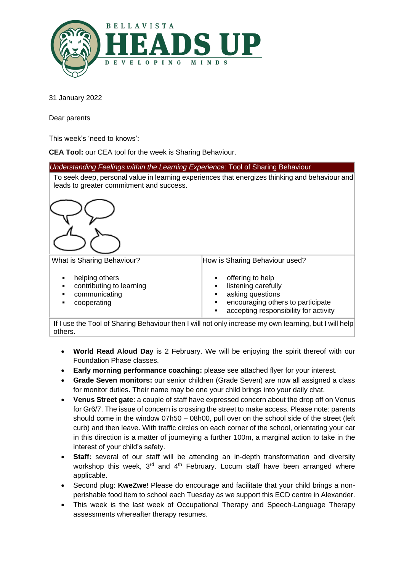

31 January 2022

Dear parents

This week's 'need to knows':

**CEA Tool:** our CEA tool for the week is Sharing Behaviour.

*Understanding Feelings within the Learning Experience:* Tool of Sharing Behaviour To seek deep, personal value in learning experiences that energizes thinking and behaviour and leads to greater commitment and success. What is Sharing Behaviour? ■ helping others contributing to learning ■ communicating cooperating How is Sharing Behaviour used? offering to help listening carefully asking questions encouraging others to participate accepting responsibility for activity

 If I use the Tool of Sharing Behaviour then I will not only increase my own learning, but I will help others.

- **World Read Aloud Day** is 2 February. We will be enjoying the spirit thereof with our Foundation Phase classes.
- **Early morning performance coaching:** please see attached flyer for your interest.
- **Grade Seven monitors:** our senior children (Grade Seven) are now all assigned a class for monitor duties. Their name may be one your child brings into your daily chat.
- **Venus Street gate**: a couple of staff have expressed concern about the drop off on Venus for Gr6/7. The issue of concern is crossing the street to make access. Please note: parents should come in the window 07h50 – 08h00, pull over on the school side of the street (left curb) and then leave. With traffic circles on each corner of the school, orientating your car in this direction is a matter of journeying a further 100m, a marginal action to take in the interest of your child's safety.
- **Staff:** several of our staff will be attending an in-depth transformation and diversity workshop this week, 3<sup>rd</sup> and 4<sup>th</sup> February. Locum staff have been arranged where applicable.
- Second plug: **KweZwe**! Please do encourage and facilitate that your child brings a nonperishable food item to school each Tuesday as we support this ECD centre in Alexander.
- This week is the last week of Occupational Therapy and Speech-Language Therapy assessments whereafter therapy resumes.